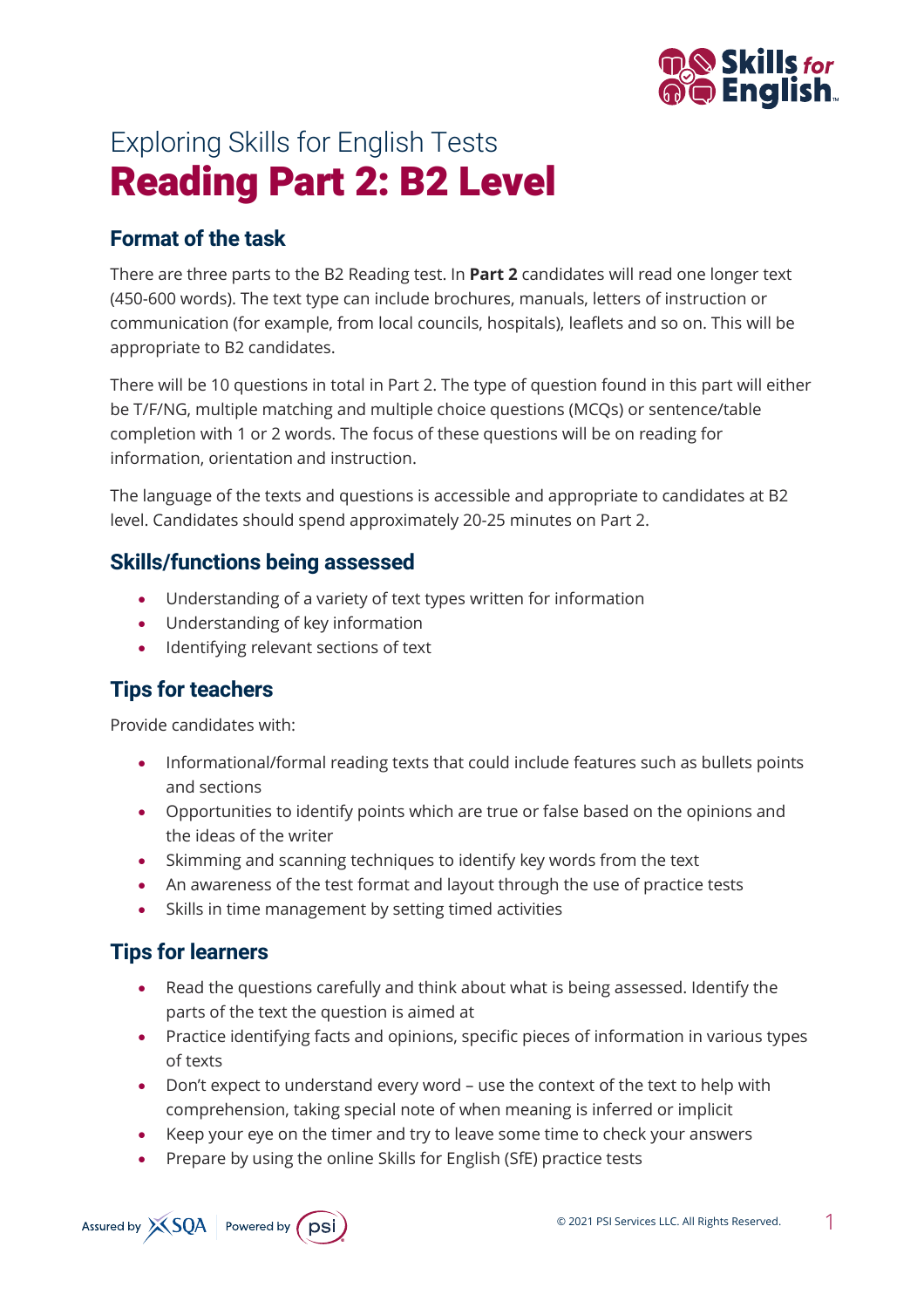

# Exploring Skills for English Tests Reading Part 2: B2 Level

#### **Format of the task**

There are three parts to the B2 Reading test. In **Part 2** candidates will read one longer text (450-600 words). The text type can include brochures, manuals, letters of instruction or communication (for example, from local councils, hospitals), leaflets and so on. This will be appropriate to B2 candidates.

There will be 10 questions in total in Part 2. The type of question found in this part will either be T/F/NG, multiple matching and multiple choice questions (MCQs) or sentence/table completion with 1 or 2 words. The focus of these questions will be on reading for information, orientation and instruction.

The language of the texts and questions is accessible and appropriate to candidates at B2 level. Candidates should spend approximately 20-25 minutes on Part 2.

#### **Skills/functions being assessed**

- Understanding of a variety of text types written for information
- Understanding of key information
- Identifying relevant sections of text

### **Tips for teachers**

Provide candidates with:

- Informational/formal reading texts that could include features such as bullets points and sections
- Opportunities to identify points which are true or false based on the opinions and the ideas of the writer
- Skimming and scanning techniques to identify key words from the text
- An awareness of the test format and layout through the use of practice tests
- Skills in time management by setting timed activities

#### **Tips for learners**

- Read the questions carefully and think about what is being assessed. Identify the parts of the text the question is aimed at
- Practice identifying facts and opinions, specific pieces of information in various types of texts
- Don't expect to understand every word use the context of the text to help with comprehension, taking special note of when meaning is inferred or implicit
- Keep your eye on the timer and try to leave some time to check your answers
- Prepare by using the online Skills for English (SfE) practice tests

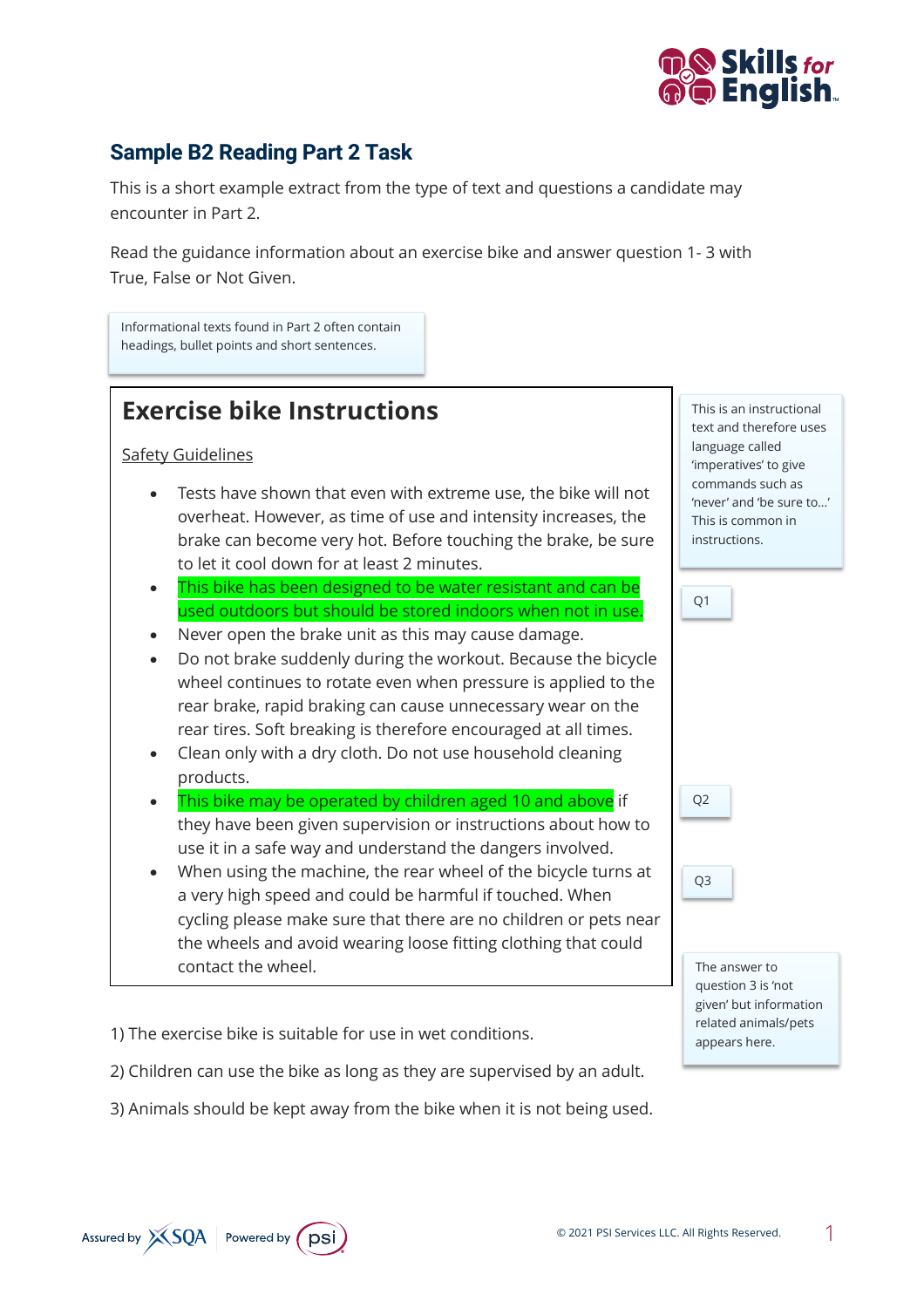

#### **Sample B2 Reading Part 2 Task**

This is a short example extract from the type of text and questions a candidate may encounter in Part 2.

Read the guidance information about an exercise bike and answer question 1- 3 with True, False or Not Given.

Informational texts found in Part 2 often contain headings, bullet points and short sentences.

## **Exercise bike Instructions**

Safety Guidelines

- Tests have shown that even with extreme use, the bike will not overheat. However, as time of use and intensity increases, the brake can become very hot. Before touching the brake, be sure to let it cool down for at least 2 minutes.
- This bike has been designed to be water resistant and can be used outdoors but should be stored indoors when not in use.
- Never open the brake unit as this may cause damage.
- Do not brake suddenly during the workout. Because the bicycle wheel continues to rotate even when pressure is applied to the rear brake, rapid braking can cause unnecessary wear on the rear tires. Soft breaking is therefore encouraged at all times.
- Clean only with a dry cloth. Do not use household cleaning products.
- This bike may be operated by children aged 10 and above if they have been given supervision or instructions about how to use it in a safe way and understand the dangers involved.
- When using the machine, the rear wheel of the bicycle turns at a very high speed and could be harmful if touched. When cycling please make sure that there are no children or pets near the wheels and avoid wearing loose fitting clothing that could contact the wheel.

1) The exercise bike is suitable for use in wet conditions.

2) Children can use the bike as long as they are supervised by an adult.

3) Animals should be kept away from the bike when it is not being used.

text and therefore uses This is an instructional language called 'imperatives' to give commands such as 'never' and 'be sure to…' This is common in instructions.

Q1

The answer to question 3 is 'not given' but information related animals/pets appears here.